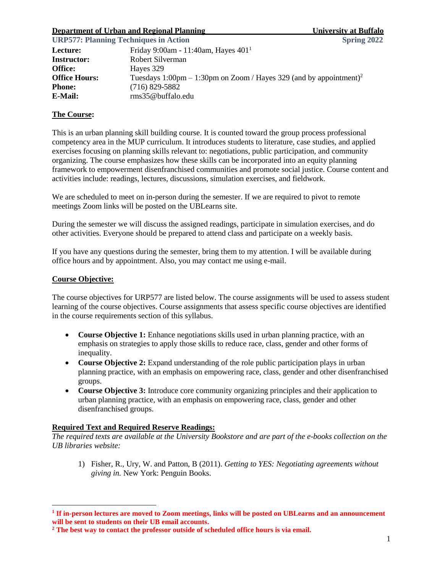#### **Department of Urban and Regional Planning University at Buffalo**

| <b>URP577: Planning Techniques in Action</b> | <b>Spring 2022</b>                                                             |  |
|----------------------------------------------|--------------------------------------------------------------------------------|--|
| Lecture:                                     | Friday 9:00am - 11:40am, Hayes $4011$                                          |  |
| <b>Instructor:</b>                           | Robert Silverman                                                               |  |
| <b>Office:</b>                               | Hayes 329                                                                      |  |
| <b>Office Hours:</b>                         | Tuesdays 1:00pm – 1:30pm on Zoom / Hayes 329 (and by appointment) <sup>2</sup> |  |
| <b>Phone:</b>                                | $(716)$ 829-5882                                                               |  |
| E-Mail:                                      | rms35@buffalo.edu                                                              |  |

#### **The Course:**

This is an urban planning skill building course. It is counted toward the group process professional competency area in the MUP curriculum. It introduces students to literature, case studies, and applied exercises focusing on planning skills relevant to: negotiations, public participation, and community organizing. The course emphasizes how these skills can be incorporated into an equity planning framework to empowerment disenfranchised communities and promote social justice. Course content and activities include: readings, lectures, discussions, simulation exercises, and fieldwork.

We are scheduled to meet on in-person during the semester. If we are required to pivot to remote meetings Zoom links will be posted on the UBLearns site.

During the semester we will discuss the assigned readings, participate in simulation exercises, and do other activities. Everyone should be prepared to attend class and participate on a weekly basis.

If you have any questions during the semester, bring them to my attention. I will be available during office hours and by appointment. Also, you may contact me using e-mail.

#### **Course Objective:**

 $\overline{a}$ 

The course objectives for URP577 are listed below. The course assignments will be used to assess student learning of the course objectives. Course assignments that assess specific course objectives are identified in the course requirements section of this syllabus.

- **Course Objective 1:** Enhance negotiations skills used in urban planning practice, with an emphasis on strategies to apply those skills to reduce race, class, gender and other forms of inequality.
- **Course Objective 2:** Expand understanding of the role public participation plays in urban planning practice, with an emphasis on empowering race, class, gender and other disenfranchised groups.
- **Course Objective 3:** Introduce core community organizing principles and their application to urban planning practice, with an emphasis on empowering race, class, gender and other disenfranchised groups.

#### **Required Text and Required Reserve Readings:**

*The required texts are available at the University Bookstore and are part of the e-books collection on the UB libraries website:*

1) Fisher, R., Ury, W. and Patton, B (2011). *Getting to YES: Negotiating agreements without giving in.* New York: Penguin Books.

**<sup>1</sup> If in-person lectures are moved to Zoom meetings, links will be posted on UBLearns and an announcement will be sent to students on their UB email accounts.**

**<sup>2</sup> The best way to contact the professor outside of scheduled office hours is via email.**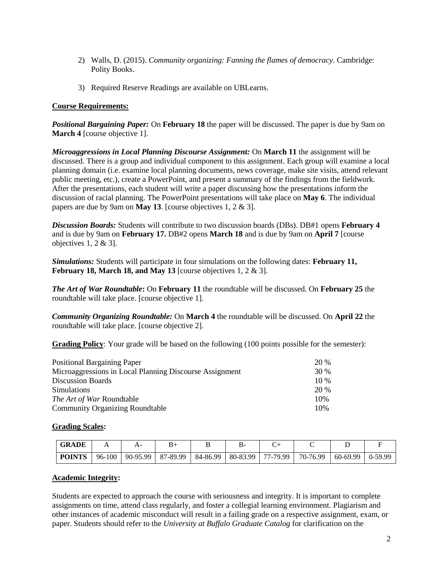- 2) Walls, D. (2015). *Community organizing: Fanning the flames of democracy.* Cambridge: Polity Books.
- 3) Required Reserve Readings are available on UBLearns.

#### **Course Requirements:**

*Positional Bargaining Paper:* On **February 18** the paper will be discussed. The paper is due by 9am on **March 4** [course objective 1].

*Microaggressions in Local Planning Discourse Assignment:* On **March 11** the assignment will be discussed. There is a group and individual component to this assignment. Each group will examine a local planning domain (i.e. examine local planning documents, news coverage, make site visits, attend relevant public meeting, etc.), create a PowerPoint, and present a summary of the findings from the fieldwork. After the presentations, each student will write a paper discussing how the presentations inform the discussion of racial planning. The PowerPoint presentations will take place on **May 6**. The individual papers are due by 9am on **May 13**. [course objectives 1, 2 & 3].

*Discussion Boards:* Students will contribute to two discussion boards (DBs). DB#1 opens **February 4** and is due by 9am on **February 17.** DB#2 opens **March 18** and is due by 9am on **April 7** [course objectives 1, 2 & 3].

*Simulations:* Students will participate in four simulations on the following dates: **February 11, February 18, March 18, and May 13** [course objectives 1, 2 & 3].

*The Art of War Roundtable***:** On **February 11** the roundtable will be discussed. On **February 25** the roundtable will take place. [course objective 1].

*Community Organizing Roundtable:* On **March 4** the roundtable will be discussed. On **April 22** the roundtable will take place. [course objective 2].

**Grading Policy**: Your grade will be based on the following (100 points possible for the semester):

| <b>Positional Bargaining Paper</b>                      | 20 %   |
|---------------------------------------------------------|--------|
| Microaggressions in Local Planning Discourse Assignment | 30 %   |
| <b>Discussion Boards</b>                                | $10\%$ |
| <b>Simulations</b>                                      | 20 %   |
| The Art of War Roundtable                               | 10%    |
| <b>Community Organizing Roundtable</b>                  | 10%    |

#### **Grading Scales:**

| <b>GRADE</b>  |        |          |          |          |          |          |          |          |                |
|---------------|--------|----------|----------|----------|----------|----------|----------|----------|----------------|
| <b>POINTS</b> | 96-100 | 90-95.99 | 87-89.99 | 84-86.99 | 80-83.99 | 77-79.99 | 70-76.99 | 60-69.99 | $\mid$ 0-59.99 |

#### **Academic Integrity:**

Students are expected to approach the course with seriousness and integrity. It is important to complete assignments on time, attend class regularly, and foster a collegial learning environment. Plagiarism and other instances of academic misconduct will result in a failing grade on a respective assignment, exam, or paper. Students should refer to the *University at Buffalo Graduate Catalog* for clarification on the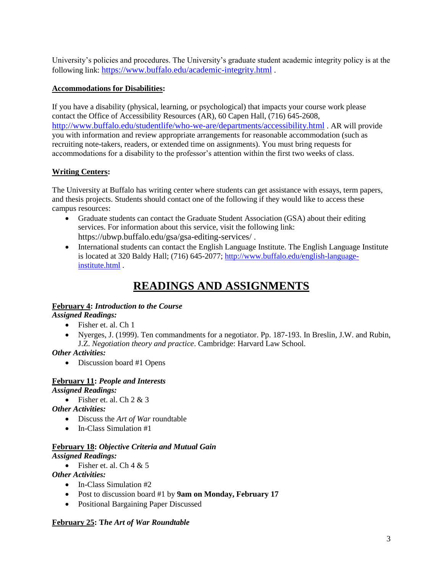University's policies and procedures. The University's graduate student academic integrity policy is at the following link: <https://www.buffalo.edu/academic-integrity.html> .

### **Accommodations for Disabilities:**

If you have a disability (physical, learning, or psychological) that impacts your course work please contact the Office of Accessibility Resources (AR), 60 Capen Hall, (716) 645-2608, <http://www.buffalo.edu/studentlife/who-we-are/departments/accessibility.html> . AR will provide you with information and review appropriate arrangements for reasonable accommodation (such as recruiting note-takers, readers, or extended time on assignments). You must bring requests for accommodations for a disability to the professor's attention within the first two weeks of class.

## **Writing Centers:**

The University at Buffalo has writing center where students can get assistance with essays, term papers, and thesis projects. Students should contact one of the following if they would like to access these campus resources:

- Graduate students can contact the Graduate Student Association (GSA) about their editing services. For information about this service, visit the following link: https://ubwp.buffalo.edu/gsa/gsa-editing-services/ .
- International students can contact the English Language Institute. The English Language Institute is located at 320 Baldy Hall; (716) 645-2077; [http://www.buffalo.edu/english-language](http://www.buffalo.edu/english-language-institute.html)[institute.html](http://www.buffalo.edu/english-language-institute.html) .

# **READINGS AND ASSIGNMENTS**

## **February 4:** *Introduction to the Course*

#### *Assigned Readings:*

- Fisher et. al. Ch 1
- Nyerges, J. (1999). Ten commandments for a negotiator. Pp. 187-193. In Breslin, J.W. and Rubin, J.Z. *Negotiation theory and practice*. Cambridge: Harvard Law School.

#### *Other Activities:*

• Discussion board #1 Opens

## **February 11:** *People and Interests*

*Assigned Readings:*

• Fisher et. al. Ch  $2 \& 3$ 

*Other Activities:*

- Discuss the *Art of War* roundtable
- In-Class Simulation #1

## **February 18:** *Objective Criteria and Mutual Gain*

*Assigned Readings:*

• Fisher et. al. Ch  $4 & 5$ 

*Other Activities:*

- In-Class Simulation #2
- Post to discussion board #1 by **9am on Monday, February 17**
- Positional Bargaining Paper Discussed

#### **February 25: T***he Art of War Roundtable*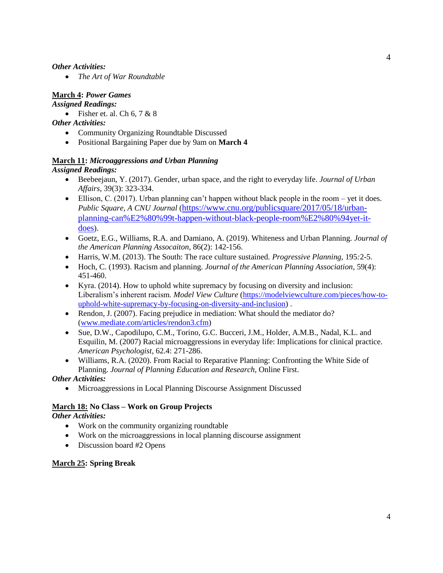#### *Other Activities:*

• *The Art of War Roundtable*

## **March 4:** *Power Games*

#### *Assigned Readings:*

• Fisher et. al. Ch  $6, 7 \& 8$ 

#### *Other Activities:*

- Community Organizing Roundtable Discussed
- Positional Bargaining Paper due by 9am on **March 4**

## **March 11:** *Microaggressions and Urban Planning*

## *Assigned Readings:*

- Beebeejaun, Y. (2017). Gender, urban space, and the right to everyday life. *Journal of Urban Affairs*, 39(3): 323-334.
- Ellison, C. (2017). Urban planning can't happen without black people in the room yet it does. *Public Square, A CNU Journal* ([https://www.cnu.org/publicsquare/2017/05/18/urban](https://www.cnu.org/publicsquare/2017/05/18/urban-planning-can%E2%80%99t-happen-without-black-people-room%E2%80%94yet-it-does)[planning-can%E2%80%99t-happen-without-black-people-room%E2%80%94yet-it](https://www.cnu.org/publicsquare/2017/05/18/urban-planning-can%E2%80%99t-happen-without-black-people-room%E2%80%94yet-it-does)[does](https://www.cnu.org/publicsquare/2017/05/18/urban-planning-can%E2%80%99t-happen-without-black-people-room%E2%80%94yet-it-does)).
- Goetz, E.G., Williams, R.A. and Damiano, A. (2019). Whiteness and Urban Planning. *Journal of the American Planning Assocaiton*, 86(2): 142-156.
- Harris, W.M. (2013). The South: The race culture sustained. *Progressive Planning,* 195*:*2-5.
- Hoch, C. (1993). Racism and planning. *Journal of the American Planning Association*, 59(4): 451-460.
- Kyra. (2014). How to uphold white supremacy by focusing on diversity and inclusion: Liberalism's inherent racism. *Model View Culture* [\(https://modelviewculture.com/pieces/how-to](https://modelviewculture.com/pieces/how-to-uphold-white-supremacy-by-focusing-on-diversity-and-inclusion)[uphold-white-supremacy-by-focusing-on-diversity-and-inclusion\)](https://modelviewculture.com/pieces/how-to-uphold-white-supremacy-by-focusing-on-diversity-and-inclusion) .
- Rendon, J. (2007). Facing prejudice in mediation: What should the mediator do? [\(www.mediate.com/articles/rendon3.cfm\)](http://www.mediate.com/articles/rendon3.cfm)
- Sue, D.W., Capodilupo, C.M., Torino, G.C. Bucceri, J.M., Holder, A.M.B., Nadal, K.L. and Esquilin, M. (2007) Racial microaggressions in everyday life: Implications for clinical practice. *American Psychologist*, 62.4: 271-286.
- Williams, R.A. (2020). From Racial to Reparative Planning: Confronting the White Side of Planning. *Journal of Planning Education and Research*, Online First.

## *Other Activities:*

• Microaggressions in Local Planning Discourse Assignment Discussed

## **March 18: No Class – Work on Group Projects**

*Other Activities:*

- Work on the community organizing roundtable
- Work on the microaggressions in local planning discourse assignment
- Discussion board #2 Opens

## **March 25: Spring Break**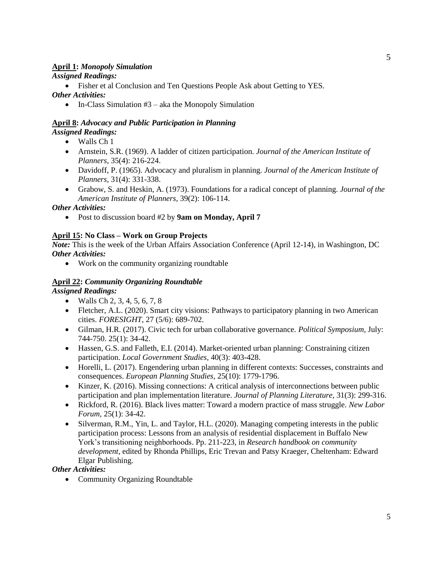## **April 1:** *Monopoly Simulation*

### *Assigned Readings:*

• Fisher et al Conclusion and Ten Questions People Ask about Getting to YES.

#### *Other Activities:*

• In-Class Simulation  $#3$  – aka the Monopoly Simulation

#### **April 8:** *Advocacy and Public Participation in Planning Assigned Readings:*

- Walls Ch 1
- Arnstein, S.R. (1969). A ladder of citizen participation. *Journal of the American Institute of Planners*, 35(4): 216-224.
- Davidoff, P. (1965). Advocacy and pluralism in planning. *Journal of the American Institute of Planners*, 31(4): 331-338.
- Grabow, S. and Heskin, A. (1973). Foundations for a radical concept of planning. *Journal of the American Institute of Planners*, 39(2): 106-114.

### *Other Activities:*

• Post to discussion board #2 by **9am on Monday, April 7**

#### **April 15: No Class – Work on Group Projects**

*Note:* This is the week of the Urban Affairs Association Conference (April 12-14), in Washington, DC *Other Activities:*

• Work on the community organizing roundtable

## **April 22:** *Community Organizing Roundtable*

*Assigned Readings:*

- Walls Ch 2, 3, 4, 5, 6, 7, 8
- Fletcher, A.L. (2020). Smart city visions: Pathways to participatory planning in two American cities. *FORESIGHT,* 27 (5/6): 689-702.
- Gilman, H.R. (2017). Civic tech for urban collaborative governance. *Political Symposium,* July: 744-750. 25(1): 34-42.
- Hassen, G.S. and Falleth, E.I. (2014). Market-oriented urban planning: Constraining citizen participation. *Local Government Studies,* 40(3): 403-428.
- Horelli, L. (2017). Engendering urban planning in different contexts: Successes, constraints and consequences. *European Planning Studies,* 25(10): 1779-1796.
- Kinzer, K. (2016). Missing connections: A critical analysis of interconnections between public participation and plan implementation literature. *Journal of Planning Literature,* 31(3): 299-316.
- Rickford, R. (2016). Black lives matter: Toward a modern practice of mass struggle. *New Labor Forum,* 25(1): 34-42.
- Silverman, R.M., Yin, L. and Taylor, H.L. (2020). Managing competing interests in the public participation process: Lessons from an analysis of residential displacement in Buffalo New York's transitioning neighborhoods. Pp. 211-223, in *Research handbook on community development*, edited by Rhonda Phillips, Eric Trevan and Patsy Kraeger, Cheltenham: Edward Elgar Publishing.

## *Other Activities:*

• Community Organizing Roundtable

5

5